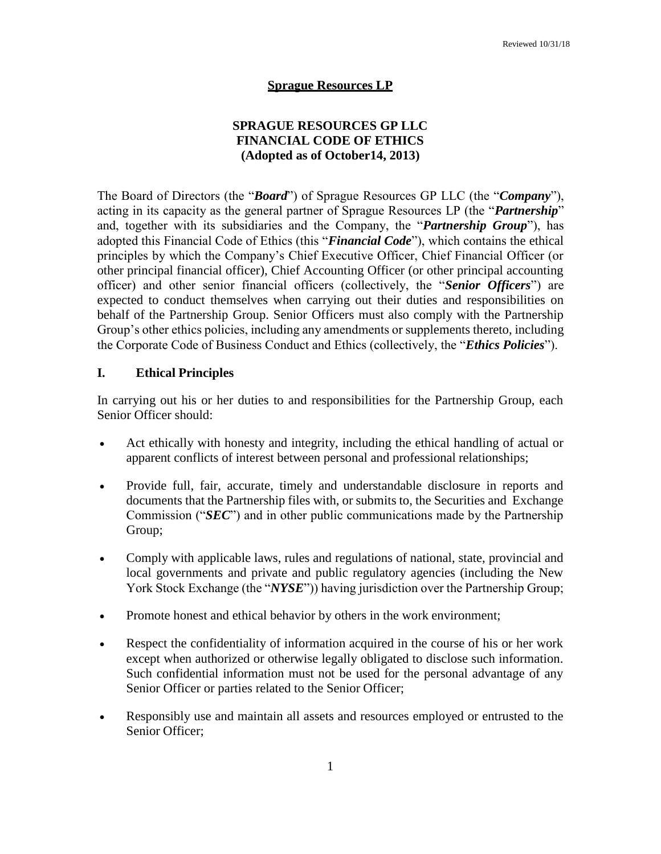#### **Sprague Resources LP**

### **SPRAGUE RESOURCES GP LLC FINANCIAL CODE OF ETHICS (Adopted as of October14, 2013)**

The Board of Directors (the "*Board*") of Sprague Resources GP LLC (the "*Company*"), acting in its capacity as the general partner of Sprague Resources LP (the "*Partnership*" and, together with its subsidiaries and the Company, the "*Partnership Group*"), has adopted this Financial Code of Ethics (this "*Financial Code*"), which contains the ethical principles by which the Company's Chief Executive Officer, Chief Financial Officer (or other principal financial officer), Chief Accounting Officer (or other principal accounting officer) and other senior financial officers (collectively, the "*Senior Officers*") are expected to conduct themselves when carrying out their duties and responsibilities on behalf of the Partnership Group. Senior Officers must also comply with the Partnership Group's other ethics policies, including any amendments or supplements thereto, including the Corporate Code of Business Conduct and Ethics (collectively, the "*Ethics Policies*").

#### **I. Ethical Principles**

In carrying out his or her duties to and responsibilities for the Partnership Group, each Senior Officer should:

- Act ethically with honesty and integrity, including the ethical handling of actual or apparent conflicts of interest between personal and professional relationships;
- Provide full, fair, accurate, timely and understandable disclosure in reports and documents that the Partnership files with, or submits to, the Securities and Exchange Commission ("*SEC*") and in other public communications made by the Partnership Group;
- Comply with applicable laws, rules and regulations of national, state, provincial and local governments and private and public regulatory agencies (including the New York Stock Exchange (the "*NYSE*")) having jurisdiction over the Partnership Group;
- Promote honest and ethical behavior by others in the work environment;
- Respect the confidentiality of information acquired in the course of his or her work except when authorized or otherwise legally obligated to disclose such information. Such confidential information must not be used for the personal advantage of any Senior Officer or parties related to the Senior Officer;
- Responsibly use and maintain all assets and resources employed or entrusted to the Senior Officer;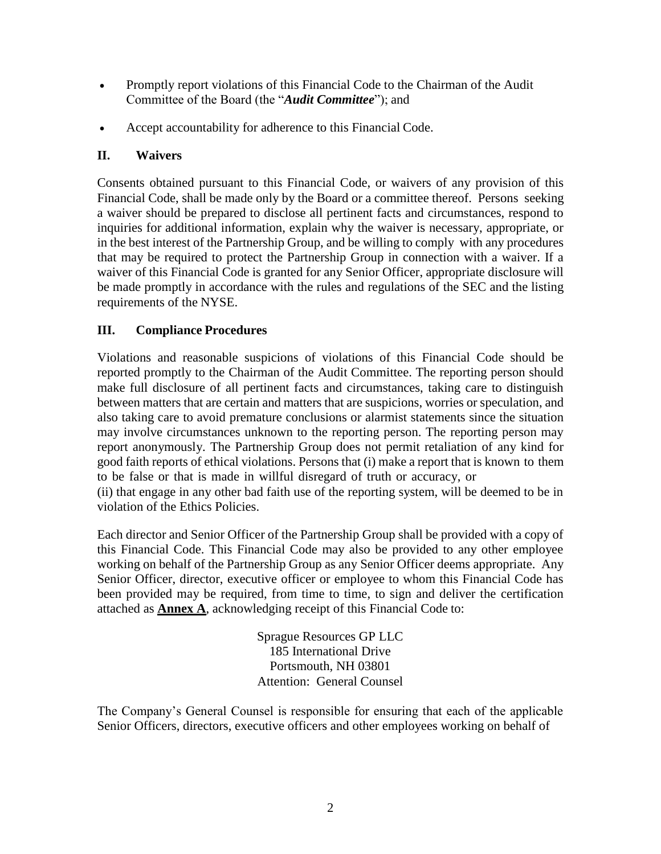- Promptly report violations of this Financial Code to the Chairman of the Audit Committee of the Board (the "*Audit Committee*"); and
- Accept accountability for adherence to this Financial Code.

## **II. Waivers**

Consents obtained pursuant to this Financial Code, or waivers of any provision of this Financial Code, shall be made only by the Board or a committee thereof. Persons seeking a waiver should be prepared to disclose all pertinent facts and circumstances, respond to inquiries for additional information, explain why the waiver is necessary, appropriate, or in the best interest of the Partnership Group, and be willing to comply with any procedures that may be required to protect the Partnership Group in connection with a waiver. If a waiver of this Financial Code is granted for any Senior Officer, appropriate disclosure will be made promptly in accordance with the rules and regulations of the SEC and the listing requirements of the NYSE.

### **III. Compliance Procedures**

Violations and reasonable suspicions of violations of this Financial Code should be reported promptly to the Chairman of the Audit Committee. The reporting person should make full disclosure of all pertinent facts and circumstances, taking care to distinguish between matters that are certain and matters that are suspicions, worries or speculation, and also taking care to avoid premature conclusions or alarmist statements since the situation may involve circumstances unknown to the reporting person. The reporting person may report anonymously. The Partnership Group does not permit retaliation of any kind for good faith reports of ethical violations. Persons that (i) make a report that is known to them to be false or that is made in willful disregard of truth or accuracy, or

(ii) that engage in any other bad faith use of the reporting system, will be deemed to be in violation of the Ethics Policies.

Each director and Senior Officer of the Partnership Group shall be provided with a copy of this Financial Code. This Financial Code may also be provided to any other employee working on behalf of the Partnership Group as any Senior Officer deems appropriate. Any Senior Officer, director, executive officer or employee to whom this Financial Code has been provided may be required, from time to time, to sign and deliver the certification attached as **Annex A**, acknowledging receipt of this Financial Code to:

> Sprague Resources GP LLC 185 International Drive Portsmouth, NH 03801 Attention: General Counsel

The Company's General Counsel is responsible for ensuring that each of the applicable Senior Officers, directors, executive officers and other employees working on behalf of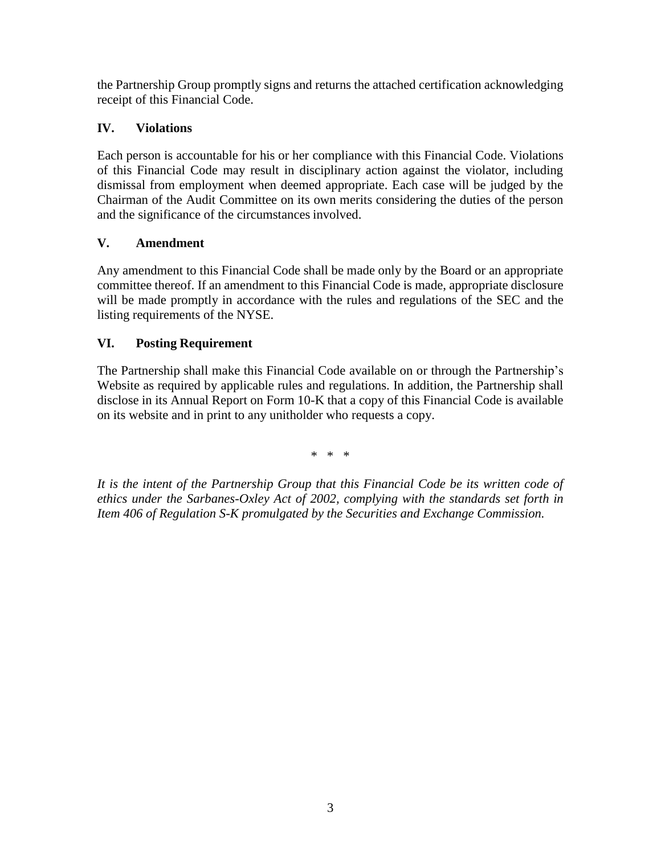the Partnership Group promptly signs and returns the attached certification acknowledging receipt of this Financial Code.

# **IV. Violations**

Each person is accountable for his or her compliance with this Financial Code. Violations of this Financial Code may result in disciplinary action against the violator, including dismissal from employment when deemed appropriate. Each case will be judged by the Chairman of the Audit Committee on its own merits considering the duties of the person and the significance of the circumstances involved.

## **V. Amendment**

Any amendment to this Financial Code shall be made only by the Board or an appropriate committee thereof. If an amendment to this Financial Code is made, appropriate disclosure will be made promptly in accordance with the rules and regulations of the SEC and the listing requirements of the NYSE.

## **VI. Posting Requirement**

The Partnership shall make this Financial Code available on or through the Partnership's Website as required by applicable rules and regulations. In addition, the Partnership shall disclose in its Annual Report on Form 10-K that a copy of this Financial Code is available on its website and in print to any unitholder who requests a copy.

\* \* \*

*It is the intent of the Partnership Group that this Financial Code be its written code of ethics under the Sarbanes-Oxley Act of 2002, complying with the standards set forth in Item 406 of Regulation S-K promulgated by the Securities and Exchange Commission.*